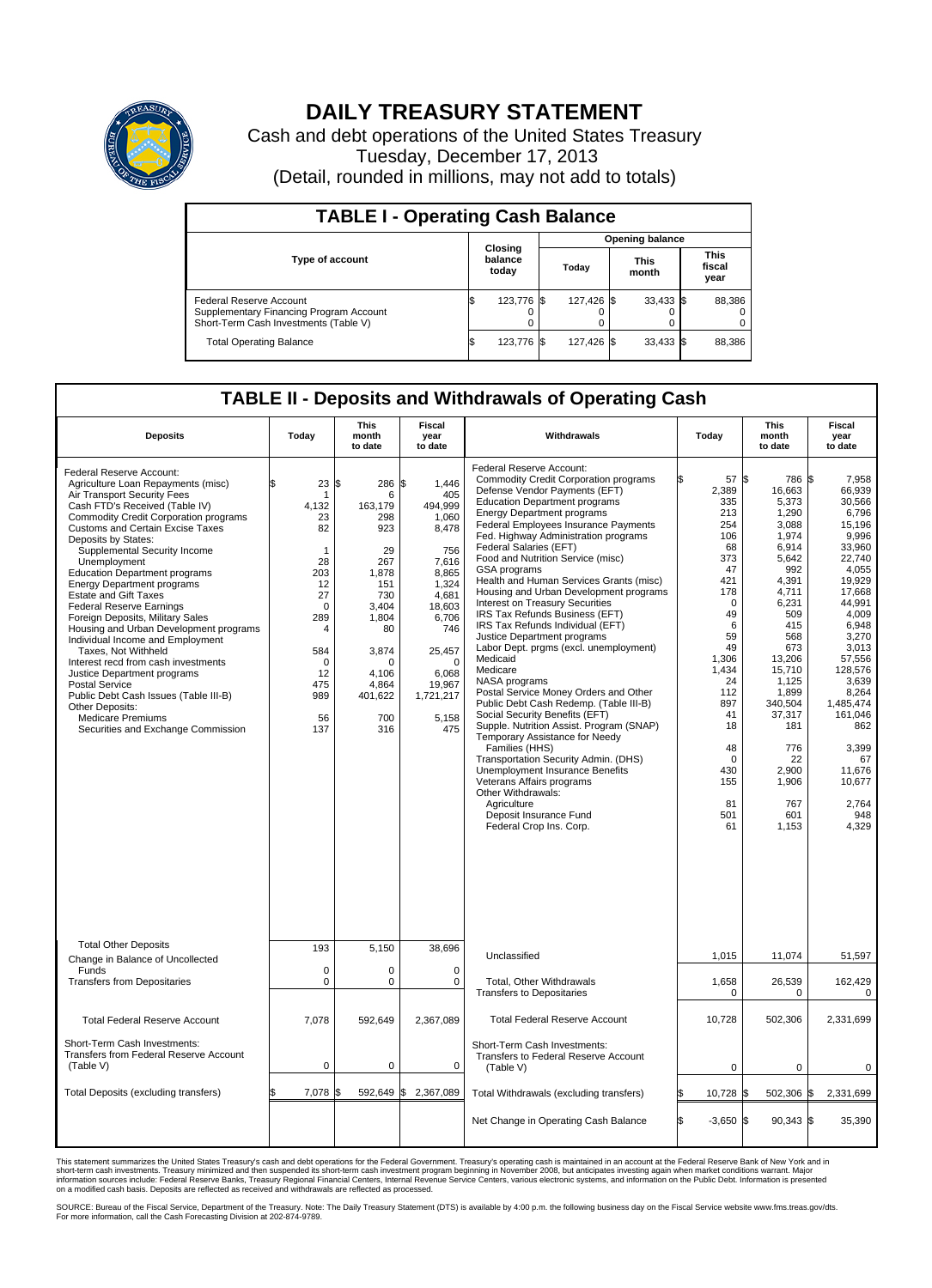

## **DAILY TREASURY STATEMENT**

Cash and debt operations of the United States Treasury Tuesday, December 17, 2013 (Detail, rounded in millions, may not add to totals)

| <b>TABLE I - Operating Cash Balance</b>                                                                     |                             |            |       |                        |  |                      |  |                               |  |  |  |
|-------------------------------------------------------------------------------------------------------------|-----------------------------|------------|-------|------------------------|--|----------------------|--|-------------------------------|--|--|--|
|                                                                                                             |                             |            |       | <b>Opening balance</b> |  |                      |  |                               |  |  |  |
| <b>Type of account</b>                                                                                      | Closing<br>balance<br>today |            | Today |                        |  | <b>This</b><br>month |  | <b>This</b><br>fiscal<br>year |  |  |  |
| Federal Reserve Account<br>Supplementary Financing Program Account<br>Short-Term Cash Investments (Table V) |                             | 123,776 \$ |       | 127.426 \$             |  | $33,433$ \$          |  | 88,386                        |  |  |  |
| <b>Total Operating Balance</b>                                                                              | ıъ                          | 123.776 \$ |       | 127.426 \$             |  | $33,433$ \$          |  | 88,386                        |  |  |  |

## **TABLE II - Deposits and Withdrawals of Operating Cash**

| <b>Deposits</b>                                                                                                                                                                                                                                                                                                                                                                                                                                                                                                                                                                                                                                                                                                                                                                                                         | Today                                                                                                                                                      | This<br>month<br>to date                                                                                                                                            | <b>Fiscal</b><br>year<br>to date                                                                                                                                                           | Withdrawals                                                                                                                                                                                                                                                                                                                                                                                                                                                                                                                                                                                                                                                                                                                                                                                                                                                                                                                                                                                                                                                                                         | Today                                                                                                                                                                                                                     | <b>This</b><br>month<br>to date                                                                                                                                                                                                                              | <b>Fiscal</b><br>year<br>to date                                                                                                                                                                                                                                                       |
|-------------------------------------------------------------------------------------------------------------------------------------------------------------------------------------------------------------------------------------------------------------------------------------------------------------------------------------------------------------------------------------------------------------------------------------------------------------------------------------------------------------------------------------------------------------------------------------------------------------------------------------------------------------------------------------------------------------------------------------------------------------------------------------------------------------------------|------------------------------------------------------------------------------------------------------------------------------------------------------------|---------------------------------------------------------------------------------------------------------------------------------------------------------------------|--------------------------------------------------------------------------------------------------------------------------------------------------------------------------------------------|-----------------------------------------------------------------------------------------------------------------------------------------------------------------------------------------------------------------------------------------------------------------------------------------------------------------------------------------------------------------------------------------------------------------------------------------------------------------------------------------------------------------------------------------------------------------------------------------------------------------------------------------------------------------------------------------------------------------------------------------------------------------------------------------------------------------------------------------------------------------------------------------------------------------------------------------------------------------------------------------------------------------------------------------------------------------------------------------------------|---------------------------------------------------------------------------------------------------------------------------------------------------------------------------------------------------------------------------|--------------------------------------------------------------------------------------------------------------------------------------------------------------------------------------------------------------------------------------------------------------|----------------------------------------------------------------------------------------------------------------------------------------------------------------------------------------------------------------------------------------------------------------------------------------|
| Federal Reserve Account:<br>Agriculture Loan Repayments (misc)<br>Air Transport Security Fees<br>Cash FTD's Received (Table IV)<br><b>Commodity Credit Corporation programs</b><br><b>Customs and Certain Excise Taxes</b><br>Deposits by States:<br>Supplemental Security Income<br>Unemployment<br><b>Education Department programs</b><br><b>Energy Department programs</b><br><b>Estate and Gift Taxes</b><br><b>Federal Reserve Earnings</b><br>Foreign Deposits, Military Sales<br>Housing and Urban Development programs<br>Individual Income and Employment<br>Taxes, Not Withheld<br>Interest recd from cash investments<br>Justice Department programs<br><b>Postal Service</b><br>Public Debt Cash Issues (Table III-B)<br>Other Deposits:<br><b>Medicare Premiums</b><br>Securities and Exchange Commission | 23<br>\$<br>1<br>4,132<br>23<br>82<br>$\mathbf{1}$<br>28<br>203<br>12<br>27<br>$\mathbf 0$<br>289<br>4<br>584<br>$\Omega$<br>12<br>475<br>989<br>56<br>137 | \$<br>286<br>6<br>163,179<br>298<br>923<br>29<br>267<br>1,878<br>151<br>730<br>3,404<br>1.804<br>80<br>3,874<br>$\Omega$<br>4,106<br>4,864<br>401,622<br>700<br>316 | \$<br>1,446<br>405<br>494,999<br>1.060<br>8,478<br>756<br>7,616<br>8,865<br>1,324<br>4.681<br>18,603<br>6,706<br>746<br>25,457<br>$\Omega$<br>6,068<br>19,967<br>1,721,217<br>5,158<br>475 | Federal Reserve Account:<br><b>Commodity Credit Corporation programs</b><br>Defense Vendor Payments (EFT)<br><b>Education Department programs</b><br><b>Energy Department programs</b><br><b>Federal Employees Insurance Payments</b><br>Fed. Highway Administration programs<br>Federal Salaries (EFT)<br>Food and Nutrition Service (misc)<br>GSA programs<br>Health and Human Services Grants (misc)<br>Housing and Urban Development programs<br>Interest on Treasury Securities<br>IRS Tax Refunds Business (EFT)<br>IRS Tax Refunds Individual (EFT)<br>Justice Department programs<br>Labor Dept. prgms (excl. unemployment)<br>Medicaid<br>Medicare<br>NASA programs<br>Postal Service Money Orders and Other<br>Public Debt Cash Redemp. (Table III-B)<br>Social Security Benefits (EFT)<br>Supple. Nutrition Assist. Program (SNAP)<br>Temporary Assistance for Needy<br>Families (HHS)<br>Transportation Security Admin. (DHS)<br>Unemployment Insurance Benefits<br>Veterans Affairs programs<br>Other Withdrawals:<br>Agriculture<br>Deposit Insurance Fund<br>Federal Crop Ins. Corp. | 57 \$<br>2,389<br>335<br>213<br>254<br>106<br>68<br>373<br>47<br>421<br>178<br>$\mathbf 0$<br>49<br>6<br>59<br>49<br>1,306<br>1,434<br>24<br>112<br>897<br>41<br>18<br>48<br>$\mathbf 0$<br>430<br>155<br>81<br>501<br>61 | 786 \$<br>16,663<br>5,373<br>1,290<br>3.088<br>1,974<br>6,914<br>5,642<br>992<br>4,391<br>4,711<br>6,231<br>509<br>415<br>568<br>673<br>13,206<br>15,710<br>1.125<br>1,899<br>340,504<br>37,317<br>181<br>776<br>22<br>2,900<br>1,906<br>767<br>601<br>1,153 | 7.958<br>66,939<br>30,566<br>6,796<br>15.196<br>9,996<br>33.960<br>22,740<br>4.055<br>19,929<br>17,668<br>44,991<br>4,009<br>6.948<br>3,270<br>3,013<br>57,556<br>128,576<br>3.639<br>8,264<br>1.485.474<br>161,046<br>862<br>3,399<br>67<br>11,676<br>10,677<br>2,764<br>948<br>4,329 |
| <b>Total Other Deposits</b><br>Change in Balance of Uncollected                                                                                                                                                                                                                                                                                                                                                                                                                                                                                                                                                                                                                                                                                                                                                         | 193                                                                                                                                                        | 5,150                                                                                                                                                               | 38,696                                                                                                                                                                                     | Unclassified                                                                                                                                                                                                                                                                                                                                                                                                                                                                                                                                                                                                                                                                                                                                                                                                                                                                                                                                                                                                                                                                                        | 1,015                                                                                                                                                                                                                     | 11,074                                                                                                                                                                                                                                                       | 51,597                                                                                                                                                                                                                                                                                 |
| Funds<br><b>Transfers from Depositaries</b>                                                                                                                                                                                                                                                                                                                                                                                                                                                                                                                                                                                                                                                                                                                                                                             | $\mathbf 0$<br>$\mathbf 0$                                                                                                                                 | 0<br>0                                                                                                                                                              | $\mathbf 0$<br>$\mathbf 0$                                                                                                                                                                 | Total, Other Withdrawals<br><b>Transfers to Depositaries</b>                                                                                                                                                                                                                                                                                                                                                                                                                                                                                                                                                                                                                                                                                                                                                                                                                                                                                                                                                                                                                                        | 1,658<br>0                                                                                                                                                                                                                | 26,539<br>0                                                                                                                                                                                                                                                  | 162,429<br>0                                                                                                                                                                                                                                                                           |
| <b>Total Federal Reserve Account</b>                                                                                                                                                                                                                                                                                                                                                                                                                                                                                                                                                                                                                                                                                                                                                                                    | 7.078                                                                                                                                                      | 592.649                                                                                                                                                             | 2,367,089                                                                                                                                                                                  | <b>Total Federal Reserve Account</b>                                                                                                                                                                                                                                                                                                                                                                                                                                                                                                                                                                                                                                                                                                                                                                                                                                                                                                                                                                                                                                                                | 10,728                                                                                                                                                                                                                    | 502,306                                                                                                                                                                                                                                                      | 2,331,699                                                                                                                                                                                                                                                                              |
| Short-Term Cash Investments:<br><b>Transfers from Federal Reserve Account</b><br>(Table V)                                                                                                                                                                                                                                                                                                                                                                                                                                                                                                                                                                                                                                                                                                                              | $\mathbf 0$                                                                                                                                                | 0                                                                                                                                                                   | 0                                                                                                                                                                                          | Short-Term Cash Investments:<br>Transfers to Federal Reserve Account<br>(Table V)                                                                                                                                                                                                                                                                                                                                                                                                                                                                                                                                                                                                                                                                                                                                                                                                                                                                                                                                                                                                                   | $\mathbf 0$                                                                                                                                                                                                               | 0                                                                                                                                                                                                                                                            | 0                                                                                                                                                                                                                                                                                      |
| Total Deposits (excluding transfers)                                                                                                                                                                                                                                                                                                                                                                                                                                                                                                                                                                                                                                                                                                                                                                                    | 7,078                                                                                                                                                      | 592,649                                                                                                                                                             | \$<br>2,367,089                                                                                                                                                                            | Total Withdrawals (excluding transfers)                                                                                                                                                                                                                                                                                                                                                                                                                                                                                                                                                                                                                                                                                                                                                                                                                                                                                                                                                                                                                                                             | 10,728 \$<br>\$                                                                                                                                                                                                           | 502,306 \$                                                                                                                                                                                                                                                   | 2,331,699                                                                                                                                                                                                                                                                              |
|                                                                                                                                                                                                                                                                                                                                                                                                                                                                                                                                                                                                                                                                                                                                                                                                                         |                                                                                                                                                            |                                                                                                                                                                     |                                                                                                                                                                                            | Net Change in Operating Cash Balance                                                                                                                                                                                                                                                                                                                                                                                                                                                                                                                                                                                                                                                                                                                                                                                                                                                                                                                                                                                                                                                                | Ŝ.<br>$-3,650$ \$                                                                                                                                                                                                         | $90,343$ \$                                                                                                                                                                                                                                                  | 35,390                                                                                                                                                                                                                                                                                 |

This statement summarizes the United States Treasury's cash and debt operations for the Federal Government. Treasury's operating cash is maintained in an account at the Federal Reserve Bank of New York and in<br>short-term ca

SOURCE: Bureau of the Fiscal Service, Department of the Treasury. Note: The Daily Treasury Statement (DTS) is available by 4:00 p.m. the following business day on the Fiscal Service website www.fms.treas.gov/dts.<br>For more